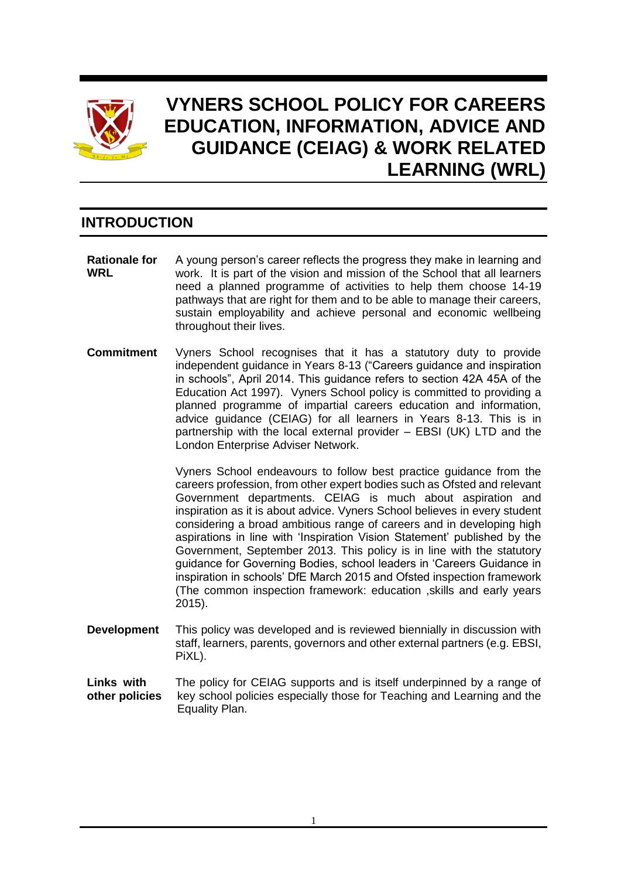

# **VYNERS SCHOOL POLICY FOR CAREERS EDUCATION, INFORMATION, ADVICE AND GUIDANCE (CEIAG) & WORK RELATED LEARNING (WRL)**

## **INTRODUCTION**

- **Rationale for WRL** A young person's career reflects the progress they make in learning and work. It is part of the vision and mission of the School that all learners need a planned programme of activities to help them choose 14-19 pathways that are right for them and to be able to manage their careers, sustain employability and achieve personal and economic wellbeing throughout their lives.
- **Commitment** Vyners School recognises that it has a statutory duty to provide independent guidance in Years 8-13 ("Careers guidance and inspiration in schools", April 2014. This guidance refers to section 42A 45A of the Education Act 1997). Vyners School policy is committed to providing a planned programme of impartial careers education and information, advice guidance (CEIAG) for all learners in Years 8-13. This is in partnership with the local external provider – EBSI (UK) LTD and the London Enterprise Adviser Network.

Vyners School endeavours to follow best practice guidance from the careers profession, from other expert bodies such as Ofsted and relevant Government departments. CEIAG is much about aspiration and inspiration as it is about advice. Vyners School believes in every student considering a broad ambitious range of careers and in developing high aspirations in line with 'Inspiration Vision Statement' published by the Government, September 2013. This policy is in line with the statutory guidance for Governing Bodies, school leaders in 'Careers Guidance in inspiration in schools' DfE March 2015 and Ofsted inspection framework (The common inspection framework: education ,skills and early years 2015).

- **Development** This policy was developed and is reviewed biennially in discussion with staff, learners, parents, governors and other external partners (e.g. EBSI, PiXL).
- **Links with other policies** The policy for CEIAG supports and is itself underpinned by a range of key school policies especially those for Teaching and Learning and the Equality Plan.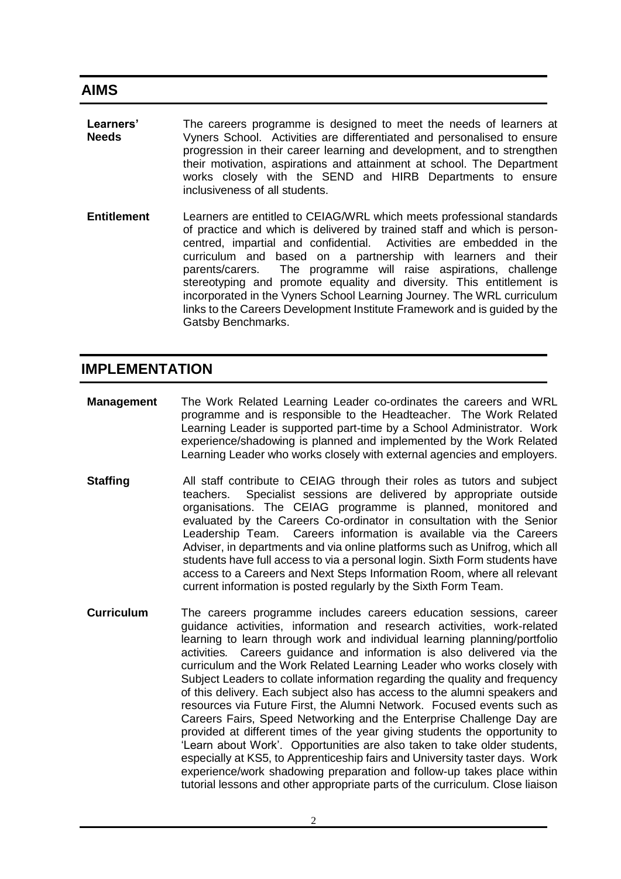| Learners'<br><b>Needs</b> | The careers programme is designed to meet the needs of learners at<br>Vyners School. Activities are differentiated and personalised to ensure<br>progression in their career learning and development, and to strengthen<br>their motivation, aspirations and attainment at school. The Department<br>works closely with the SEND and HIRB Departments to ensure<br>inclusiveness of all students.                                                                                                                                                                                                                |
|---------------------------|-------------------------------------------------------------------------------------------------------------------------------------------------------------------------------------------------------------------------------------------------------------------------------------------------------------------------------------------------------------------------------------------------------------------------------------------------------------------------------------------------------------------------------------------------------------------------------------------------------------------|
| <b>Entitlement</b>        | Learners are entitled to CEIAG/WRL which meets professional standards<br>of practice and which is delivered by trained staff and which is person-<br>centred, impartial and confidential. Activities are embedded in the<br>curriculum and based on a partnership with learners and their<br>parents/carers. The programme will raise aspirations, challenge<br>stereotyping and promote equality and diversity. This entitlement is<br>incorporated in the Vyners School Learning Journey. The WRL curriculum<br>links to the Careers Development Institute Framework and is guided by the<br>Gatsby Benchmarks. |

## **IMPLEMENTATION**

- **Management** The Work Related Learning Leader co-ordinates the careers and WRL programme and is responsible to the Headteacher. The Work Related Learning Leader is supported part-time by a School Administrator. Work experience/shadowing is planned and implemented by the Work Related Learning Leader who works closely with external agencies and employers.
- **Staffing** All staff contribute to CEIAG through their roles as tutors and subject teachers. Specialist sessions are delivered by appropriate outside organisations. The CEIAG programme is planned, monitored and evaluated by the Careers Co-ordinator in consultation with the Senior Leadership Team. Careers information is available via the Careers Adviser, in departments and via online platforms such as Unifrog, which all students have full access to via a personal login. Sixth Form students have access to a Careers and Next Steps Information Room, where all relevant current information is posted regularly by the Sixth Form Team.
- **Curriculum** The careers programme includes careers education sessions, career guidance activities, information and research activities, work-related learning to learn through work and individual learning planning/portfolio activities*.* Careers guidance and information is also delivered via the curriculum and the Work Related Learning Leader who works closely with Subject Leaders to collate information regarding the quality and frequency of this delivery. Each subject also has access to the alumni speakers and resources via Future First, the Alumni Network. Focused events such as Careers Fairs, Speed Networking and the Enterprise Challenge Day are provided at different times of the year giving students the opportunity to 'Learn about Work'. Opportunities are also taken to take older students, especially at KS5, to Apprenticeship fairs and University taster days. Work experience/work shadowing preparation and follow-up takes place within tutorial lessons and other appropriate parts of the curriculum. Close liaison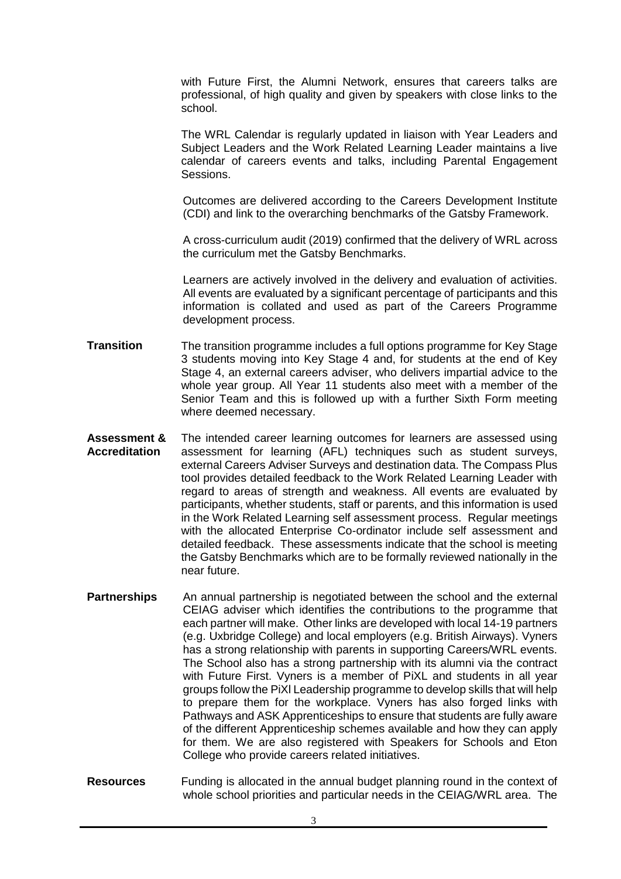with Future First, the Alumni Network, ensures that careers talks are professional, of high quality and given by speakers with close links to the school.

The WRL Calendar is regularly updated in liaison with Year Leaders and Subject Leaders and the Work Related Learning Leader maintains a live calendar of careers events and talks, including Parental Engagement Sessions.

Outcomes are delivered according to the Careers Development Institute (CDI) and link to the overarching benchmarks of the Gatsby Framework.

A cross-curriculum audit (2019) confirmed that the delivery of WRL across the curriculum met the Gatsby Benchmarks.

Learners are actively involved in the delivery and evaluation of activities. All events are evaluated by a significant percentage of participants and this information is collated and used as part of the Careers Programme development process.

- **Transition** The transition programme includes a full options programme for Key Stage 3 students moving into Key Stage 4 and, for students at the end of Key Stage 4, an external careers adviser, who delivers impartial advice to the whole year group. All Year 11 students also meet with a member of the Senior Team and this is followed up with a further Sixth Form meeting where deemed necessary.
- **Assessment & Accreditation** The intended career learning outcomes for learners are assessed using assessment for learning (AFL) techniques such as student surveys, external Careers Adviser Surveys and destination data. The Compass Plus tool provides detailed feedback to the Work Related Learning Leader with regard to areas of strength and weakness. All events are evaluated by participants, whether students, staff or parents, and this information is used in the Work Related Learning self assessment process. Regular meetings with the allocated Enterprise Co-ordinator include self assessment and detailed feedback. These assessments indicate that the school is meeting the Gatsby Benchmarks which are to be formally reviewed nationally in the near future.
- **Partnerships** An annual partnership is negotiated between the school and the external CEIAG adviser which identifies the contributions to the programme that each partner will make. Other links are developed with local 14-19 partners (e.g. Uxbridge College) and local employers (e.g. British Airways). Vyners has a strong relationship with parents in supporting Careers/WRL events. The School also has a strong partnership with its alumni via the contract with Future First. Vyners is a member of PiXL and students in all year groups follow the PiXl Leadership programme to develop skills that will help to prepare them for the workplace. Vyners has also forged links with Pathways and ASK Apprenticeships to ensure that students are fully aware of the different Apprenticeship schemes available and how they can apply for them. We are also registered with Speakers for Schools and Eton College who provide careers related initiatives.
- **Resources** Funding is allocated in the annual budget planning round in the context of whole school priorities and particular needs in the CEIAG/WRL area. The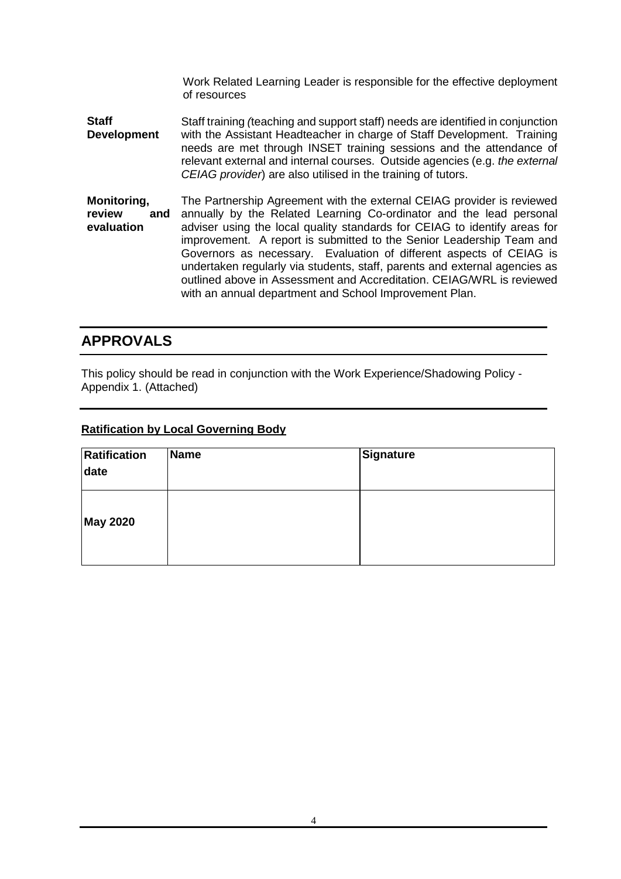Work Related Learning Leader is responsible for the effective deployment of resources

**Staff Development**  Staff training *(*teaching and support staff) needs are identified in conjunction with the Assistant Headteacher in charge of Staff Development. Training needs are met through INSET training sessions and the attendance of relevant external and internal courses. Outside agencies (e.g. *the external CEIAG provider*) are also utilised in the training of tutors.

**Monitoring, review evaluation** The Partnership Agreement with the external CEIAG provider is reviewed annually by the Related Learning Co-ordinator and the lead personal adviser using the local quality standards for CEIAG to identify areas for improvement. A report is submitted to the Senior Leadership Team and Governors as necessary. Evaluation of different aspects of CEIAG is undertaken regularly via students, staff, parents and external agencies as outlined above in Assessment and Accreditation. CEIAG/WRL is reviewed with an annual department and School Improvement Plan.

### **APPROVALS**

This policy should be read in conjunction with the Work Experience/Shadowing Policy - Appendix 1. (Attached)

#### **Ratification by Local Governing Body**

| Ratification<br>date | <b>Name</b> | Signature |
|----------------------|-------------|-----------|
| <b>May 2020</b>      |             |           |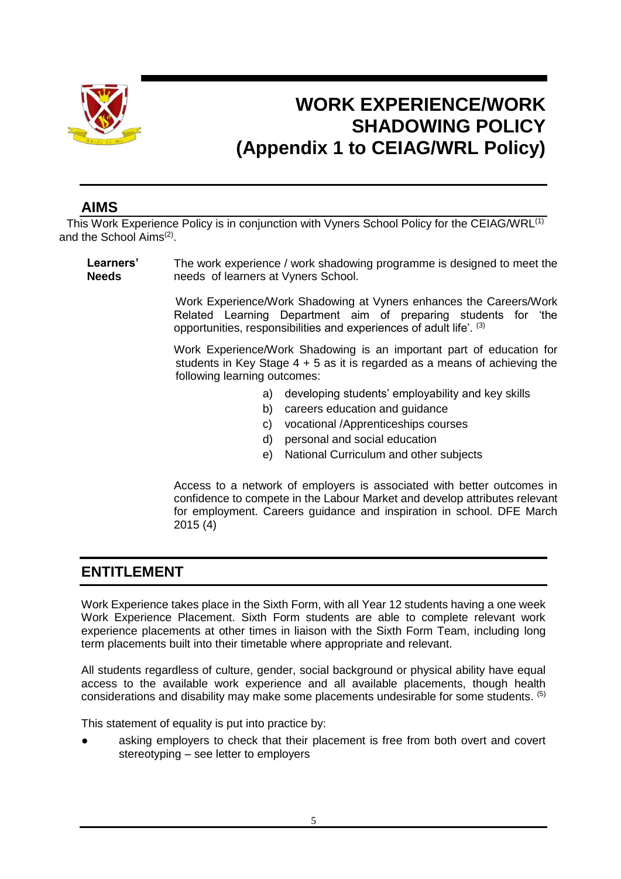

# **WORK EXPERIENCE/WORK SHADOWING POLICY (Appendix 1 to CEIAG/WRL Policy)**

### **AIMS**

This Work Experience Policy is in conjunction with Vyners School Policy for the CEIAG/WRL<sup>(1)</sup> and the School Aims<sup>(2)</sup>.

**Learners' Needs** The work experience / work shadowing programme is designed to meet the needs of learners at Vyners School.

> Work Experience/Work Shadowing at Vyners enhances the Careers/Work Related Learning Department aim of preparing students for 'the opportunities, responsibilities and experiences of adult life'. (3)

> Work Experience/Work Shadowing is an important part of education for students in Key Stage 4 + 5 as it is regarded as a means of achieving the following learning outcomes:

- a) developing students' employability and key skills
- b) careers education and guidance
- c) vocational /Apprenticeships courses
- d) personal and social education
- e) National Curriculum and other subjects

Access to a network of employers is associated with better outcomes in confidence to compete in the Labour Market and develop attributes relevant for employment. Careers guidance and inspiration in school. DFE March 2015 (4)

#### **ENTITLEMENT**

Work Experience takes place in the Sixth Form, with all Year 12 students having a one week Work Experience Placement. Sixth Form students are able to complete relevant work experience placements at other times in liaison with the Sixth Form Team, including long term placements built into their timetable where appropriate and relevant.

All students regardless of culture, gender, social background or physical ability have equal access to the available work experience and all available placements, though health considerations and disability may make some placements undesirable for some students. (5)

This statement of equality is put into practice by:

asking employers to check that their placement is free from both overt and covert stereotyping – see letter to employers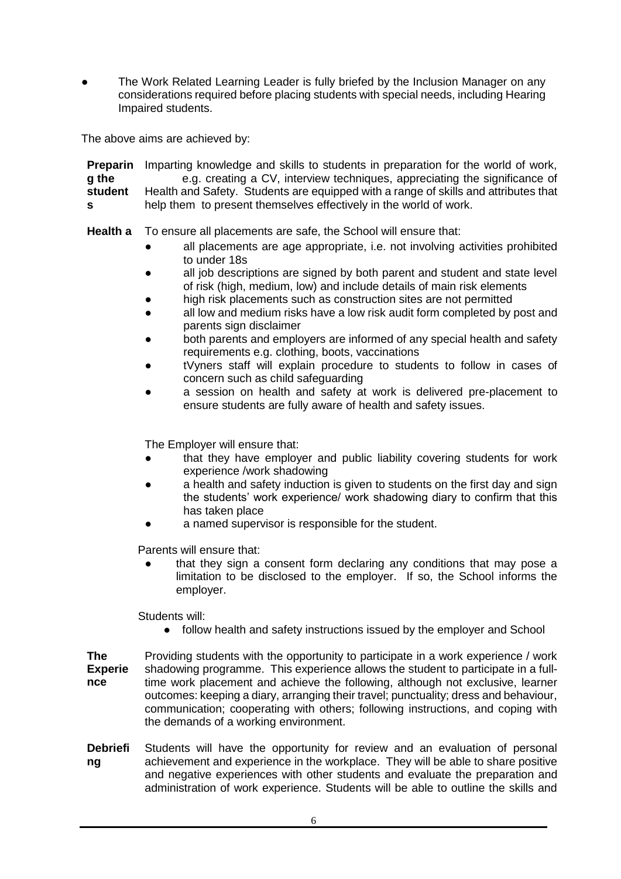The Work Related Learning Leader is fully briefed by the Inclusion Manager on any considerations required before placing students with special needs, including Hearing Impaired students.

The above aims are achieved by:

| <b>Preparin</b> | Imparting knowledge and skills to students in preparation for the world of work,    |
|-----------------|-------------------------------------------------------------------------------------|
| g the           | e.g. creating a CV, interview techniques, appreciating the significance of          |
| student         | Health and Safety. Students are equipped with a range of skills and attributes that |
| -S              | help them to present themselves effectively in the world of work.                   |

**Health a**  To ensure all placements are safe, the School will ensure that:

- **&**  all placements are age appropriate, i.e. not involving activities prohibited **S** to under 18s
- all job descriptions are signed by both parent and student and state level of risk (high, medium, low) and include details of main risk elements
- high risk placements such as construction sites are not permitted
- all low and medium risks have a low risk audit form completed by post and parents sign disclaimer
- **•** both parents and employers are informed of any special health and safety requirements e.g. clothing, boots, vaccinations
- tVyners staff will explain procedure to students to follow in cases of concern such as child safeguarding
- a session on health and safety at work is delivered pre-placement to ensure students are fully aware of health and safety issues.

The Employer will ensure that:

- that they have employer and public liability covering students for work experience /work shadowing
- a health and safety induction is given to students on the first day and sign the students' work experience/ work shadowing diary to confirm that this has taken place
- a named supervisor is responsible for the student.

Parents will ensure that:

that they sign a consent form declaring any conditions that may pose a limitation to be disclosed to the employer. If so, the School informs the employer.

Students will:

● follow health and safety instructions issued by the employer and School

**The Experie nce** Providing students with the opportunity to participate in a work experience / work shadowing programme. This experience allows the student to participate in a fulltime work placement and achieve the following, although not exclusive, learner outcomes: keeping a diary, arranging their travel; punctuality; dress and behaviour, communication; cooperating with others; following instructions, and coping with the demands of a working environment.

**Debriefi ng** Students will have the opportunity for review and an evaluation of personal achievement and experience in the workplace. They will be able to share positive and negative experiences with other students and evaluate the preparation and administration of work experience. Students will be able to outline the skills and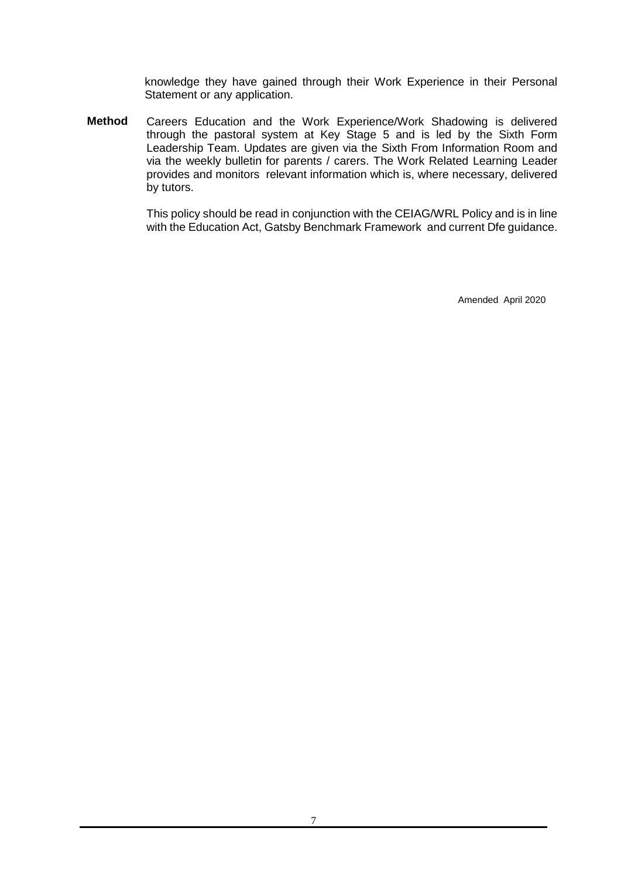knowledge they have gained through their Work Experience in their Personal Statement or any application.

**Method** Careers Education and the Work Experience/Work Shadowing is delivered through the pastoral system at Key Stage 5 and is led by the Sixth Form Leadership Team. Updates are given via the Sixth From Information Room and via the weekly bulletin for parents / carers. The Work Related Learning Leader provides and monitors relevant information which is, where necessary, delivered by tutors.

> This policy should be read in conjunction with the CEIAG/WRL Policy and is in line with the Education Act, Gatsby Benchmark Framework and current Dfe guidance.

> > Amended April 2020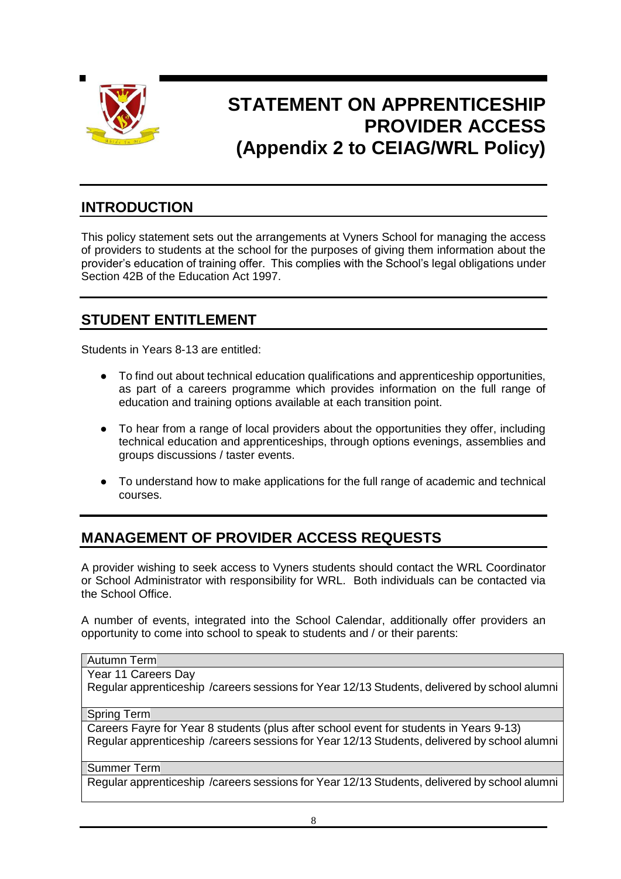

# **STATEMENT ON APPRENTICESHIP PROVIDER ACCESS (Appendix 2 to CEIAG/WRL Policy)**

## **INTRODUCTION**

This policy statement sets out the arrangements at Vyners School for managing the access of providers to students at the school for the purposes of giving them information about the provider's education of training offer. This complies with the School's legal obligations under Section 42B of the Education Act 1997.

## **STUDENT ENTITLEMENT**

Students in Years 8-13 are entitled:

- To find out about technical education qualifications and apprenticeship opportunities, as part of a careers programme which provides information on the full range of education and training options available at each transition point.
- To hear from a range of local providers about the opportunities they offer, including technical education and apprenticeships, through options evenings, assemblies and groups discussions / taster events.
- To understand how to make applications for the full range of academic and technical courses.

## **MANAGEMENT OF PROVIDER ACCESS REQUESTS**

A provider wishing to seek access to Vyners students should contact the WRL Coordinator or School Administrator with responsibility for WRL. Both individuals can be contacted via the School Office.

A number of events, integrated into the School Calendar, additionally offer providers an opportunity to come into school to speak to students and / or their parents:

#### Autumn Term

Year 11 Careers Day

Regular apprenticeship /careers sessions for Year 12/13 Students, delivered by school alumni

#### Spring Term

Careers Fayre for Year 8 students (plus after school event for students in Years 9-13) Regular apprenticeship /careers sessions for Year 12/13 Students, delivered by school alumni

Summer Term

Regular apprenticeship /careers sessions for Year 12/13 Students, delivered by school alumni